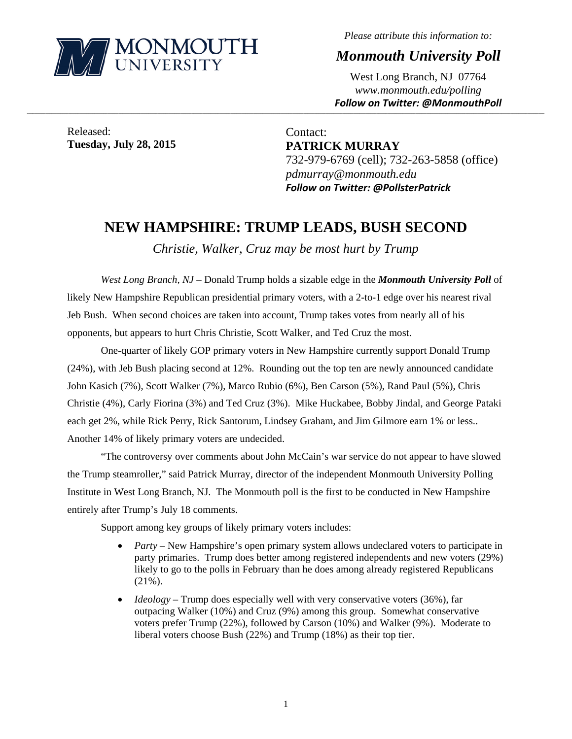

*Please attribute this information to:* 

*Monmouth University Poll* 

West Long Branch, NJ 07764 *www.monmouth.edu/polling Follow on Twitter: @MonmouthPoll*

Released: **Tuesday, July 28, 2015** 

Contact: **PATRICK MURRAY**  732-979-6769 (cell); 732-263-5858 (office) *pdmurray@monmouth.edu Follow on Twitter: @PollsterPatrick*

## **NEW HAMPSHIRE: TRUMP LEADS, BUSH SECOND**

,一个人的人都是不是,我们的人都是不是,我们的人都是不是,我们的人都是不是,我们的人都是不是,我们的人都是不是,我们的人都是不是,我们的人都是不是,我们的人都是不

*Christie, Walker, Cruz may be most hurt by Trump* 

*West Long Branch, NJ* – Donald Trump holds a sizable edge in the *Monmouth University Poll* of likely New Hampshire Republican presidential primary voters, with a 2-to-1 edge over his nearest rival Jeb Bush. When second choices are taken into account, Trump takes votes from nearly all of his opponents, but appears to hurt Chris Christie, Scott Walker, and Ted Cruz the most.

One-quarter of likely GOP primary voters in New Hampshire currently support Donald Trump (24%), with Jeb Bush placing second at 12%. Rounding out the top ten are newly announced candidate John Kasich (7%), Scott Walker (7%), Marco Rubio (6%), Ben Carson (5%), Rand Paul (5%), Chris Christie (4%), Carly Fiorina (3%) and Ted Cruz (3%). Mike Huckabee, Bobby Jindal, and George Pataki each get 2%, while Rick Perry, Rick Santorum, Lindsey Graham, and Jim Gilmore earn 1% or less.. Another 14% of likely primary voters are undecided.

"The controversy over comments about John McCain's war service do not appear to have slowed the Trump steamroller," said Patrick Murray, director of the independent Monmouth University Polling Institute in West Long Branch, NJ. The Monmouth poll is the first to be conducted in New Hampshire entirely after Trump's July 18 comments.

Support among key groups of likely primary voters includes:

- *Party* New Hampshire's open primary system allows undeclared voters to participate in party primaries. Trump does better among registered independents and new voters (29%) likely to go to the polls in February than he does among already registered Republicans (21%).
- *Ideology* Trump does especially well with very conservative voters (36%), far outpacing Walker (10%) and Cruz (9%) among this group. Somewhat conservative voters prefer Trump (22%), followed by Carson (10%) and Walker (9%). Moderate to liberal voters choose Bush (22%) and Trump (18%) as their top tier.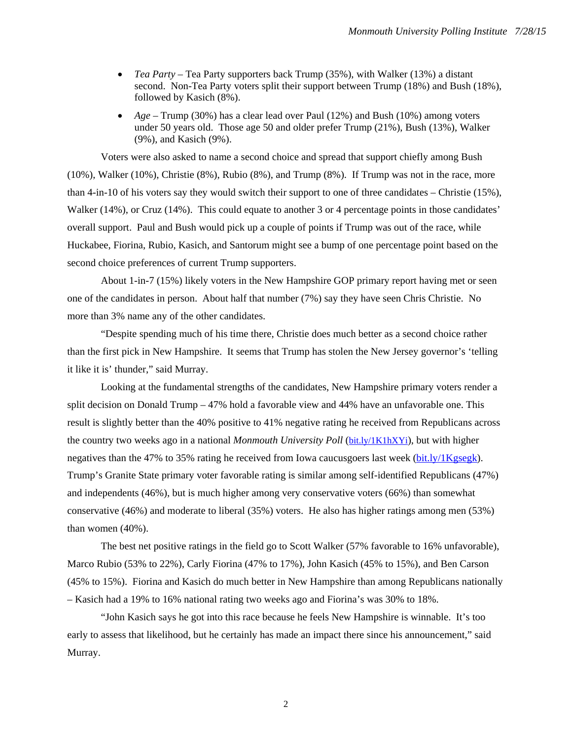- *Tea Party* Tea Party supporters back Trump (35%), with Walker (13%) a distant second. Non-Tea Party voters split their support between Trump (18%) and Bush (18%), followed by Kasich (8%).
- *Age* Trump (30%) has a clear lead over Paul (12%) and Bush (10%) among voters under 50 years old. Those age 50 and older prefer Trump (21%), Bush (13%), Walker (9%), and Kasich (9%).

Voters were also asked to name a second choice and spread that support chiefly among Bush (10%), Walker (10%), Christie (8%), Rubio (8%), and Trump (8%). If Trump was not in the race, more than 4-in-10 of his voters say they would switch their support to one of three candidates – Christie (15%), Walker (14%), or Cruz (14%). This could equate to another 3 or 4 percentage points in those candidates' overall support. Paul and Bush would pick up a couple of points if Trump was out of the race, while Huckabee, Fiorina, Rubio, Kasich, and Santorum might see a bump of one percentage point based on the second choice preferences of current Trump supporters.

About 1-in-7 (15%) likely voters in the New Hampshire GOP primary report having met or seen one of the candidates in person. About half that number (7%) say they have seen Chris Christie. No more than 3% name any of the other candidates.

"Despite spending much of his time there, Christie does much better as a second choice rather than the first pick in New Hampshire. It seems that Trump has stolen the New Jersey governor's 'telling it like it is' thunder," said Murray.

Looking at the fundamental strengths of the candidates, New Hampshire primary voters render a split decision on Donald Trump – 47% hold a favorable view and 44% have an unfavorable one. This result is slightly better than the 40% positive to 41% negative rating he received from Republicans across the country two weeks ago in a national *Monmouth University Poll* (bit.ly/1K1hXYi), but with higher negatives than the 47% to 35% rating he received from Iowa caucusgoers last week (bit.ly/1Kgsegk). Trump's Granite State primary voter favorable rating is similar among self-identified Republicans (47%) and independents (46%), but is much higher among very conservative voters (66%) than somewhat conservative (46%) and moderate to liberal (35%) voters. He also has higher ratings among men (53%) than women (40%).

The best net positive ratings in the field go to Scott Walker (57% favorable to 16% unfavorable), Marco Rubio (53% to 22%), Carly Fiorina (47% to 17%), John Kasich (45% to 15%), and Ben Carson (45% to 15%). Fiorina and Kasich do much better in New Hampshire than among Republicans nationally – Kasich had a 19% to 16% national rating two weeks ago and Fiorina's was 30% to 18%.

"John Kasich says he got into this race because he feels New Hampshire is winnable. It's too early to assess that likelihood, but he certainly has made an impact there since his announcement," said Murray.

2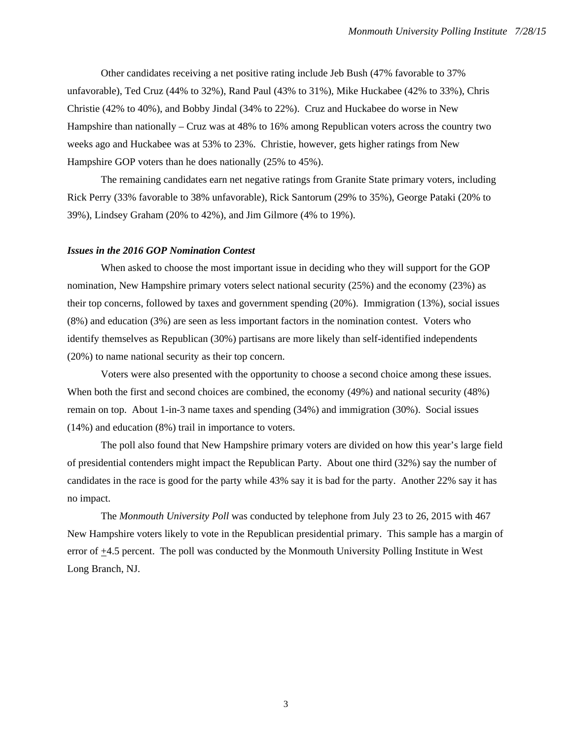Other candidates receiving a net positive rating include Jeb Bush (47% favorable to 37% unfavorable), Ted Cruz (44% to 32%), Rand Paul (43% to 31%), Mike Huckabee (42% to 33%), Chris Christie (42% to 40%), and Bobby Jindal (34% to 22%). Cruz and Huckabee do worse in New Hampshire than nationally – Cruz was at 48% to 16% among Republican voters across the country two weeks ago and Huckabee was at 53% to 23%. Christie, however, gets higher ratings from New Hampshire GOP voters than he does nationally (25% to 45%).

The remaining candidates earn net negative ratings from Granite State primary voters, including Rick Perry (33% favorable to 38% unfavorable), Rick Santorum (29% to 35%), George Pataki (20% to 39%), Lindsey Graham (20% to 42%), and Jim Gilmore (4% to 19%).

## *Issues in the 2016 GOP Nomination Contest*

When asked to choose the most important issue in deciding who they will support for the GOP nomination, New Hampshire primary voters select national security (25%) and the economy (23%) as their top concerns, followed by taxes and government spending (20%). Immigration (13%), social issues (8%) and education (3%) are seen as less important factors in the nomination contest. Voters who identify themselves as Republican (30%) partisans are more likely than self-identified independents (20%) to name national security as their top concern.

Voters were also presented with the opportunity to choose a second choice among these issues. When both the first and second choices are combined, the economy (49%) and national security (48%) remain on top. About 1-in-3 name taxes and spending (34%) and immigration (30%). Social issues (14%) and education (8%) trail in importance to voters.

The poll also found that New Hampshire primary voters are divided on how this year's large field of presidential contenders might impact the Republican Party. About one third (32%) say the number of candidates in the race is good for the party while 43% say it is bad for the party. Another 22% say it has no impact.

The *Monmouth University Poll* was conducted by telephone from July 23 to 26, 2015 with 467 New Hampshire voters likely to vote in the Republican presidential primary. This sample has a margin of error of +4.5 percent. The poll was conducted by the Monmouth University Polling Institute in West Long Branch, NJ.

3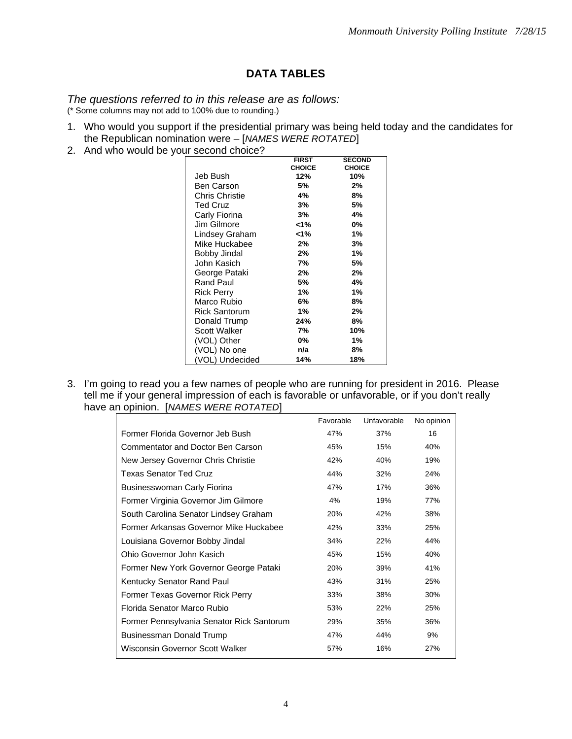## **DATA TABLES**

## *The questions referred to in this release are as follows:*

(\* Some columns may not add to 100% due to rounding.)

- 1. Who would you support if the presidential primary was being held today and the candidates for the Republican nomination were – [*NAMES WERE ROTATED*]
- 2. And who would be your second choice?

|                       | <b>FIRST</b>  | <b>SECOND</b> |
|-----------------------|---------------|---------------|
|                       | <b>CHOICE</b> | <b>CHOICE</b> |
| Jeb Bush              | 12%           | 10%           |
| Ben Carson            | 5%            | 2%            |
| <b>Chris Christie</b> | 4%            | 8%            |
| <b>Ted Cruz</b>       | 3%            | 5%            |
| Carly Fiorina         | 3%            | 4%            |
| Jim Gilmore           | <1%           | 0%            |
| Lindsey Graham        | <1%           | 1%            |
| Mike Huckabee         | 2%            | 3%            |
| <b>Bobby Jindal</b>   | 2%            | 1%            |
| John Kasich           | 7%            | 5%            |
| George Pataki         | 2%            | 2%            |
| Rand Paul             | 5%            | 4%            |
| <b>Rick Perry</b>     | 1%            | 1%            |
| Marco Rubio           | 6%            | 8%            |
| <b>Rick Santorum</b>  | 1%            | 2%            |
| Donald Trump          | 24%           | 8%            |
| Scott Walker          | 7%            | 10%           |
| (VOL) Other           | 0%            | 1%            |
| (VOL) No one          | n/a           | 8%            |
| (VOL) Undecided       | 14%           | 18%           |

3. I'm going to read you a few names of people who are running for president in 2016. Please tell me if your general impression of each is favorable or unfavorable, or if you don't really have an opinion. [*NAMES WERE ROTATED*]

|                                           | Favorable | Unfavorable | No opinion |
|-------------------------------------------|-----------|-------------|------------|
| Former Florida Governor Jeb Bush          | 47%       | 37%         | 16         |
| Commentator and Doctor Ben Carson         | 45%       | 15%         | 40%        |
| New Jersey Governor Chris Christie        | 42%       | 40%         | 19%        |
| <b>Texas Senator Ted Cruz</b>             | 44%       | 32%         | 24%        |
| Businesswoman Carly Fiorina               | 47%       | 17%         | 36%        |
| Former Virginia Governor Jim Gilmore      | 4%        | 19%         | 77%        |
| South Carolina Senator Lindsey Graham     | 20%       | 42%         | 38%        |
| Former Arkansas Governor Mike Huckabee    | 42%       | 33%         | 25%        |
| Louisiana Governor Bobby Jindal           | 34%       | 22%         | 44%        |
| Ohio Governor John Kasich                 | 45%       | 15%         | 40%        |
| Former New York Governor George Pataki    | 20%       | 39%         | 41%        |
| Kentucky Senator Rand Paul                | 43%       | 31%         | 25%        |
| Former Texas Governor Rick Perry          | 33%       | 38%         | 30%        |
| Florida Senator Marco Rubio               | 53%       | 22%         | 25%        |
| Former Pennsylvania Senator Rick Santorum | 29%       | 35%         | 36%        |
| Businessman Donald Trump                  | 47%       | 44%         | 9%         |
| Wisconsin Governor Scott Walker           | 57%       | 16%         | 27%        |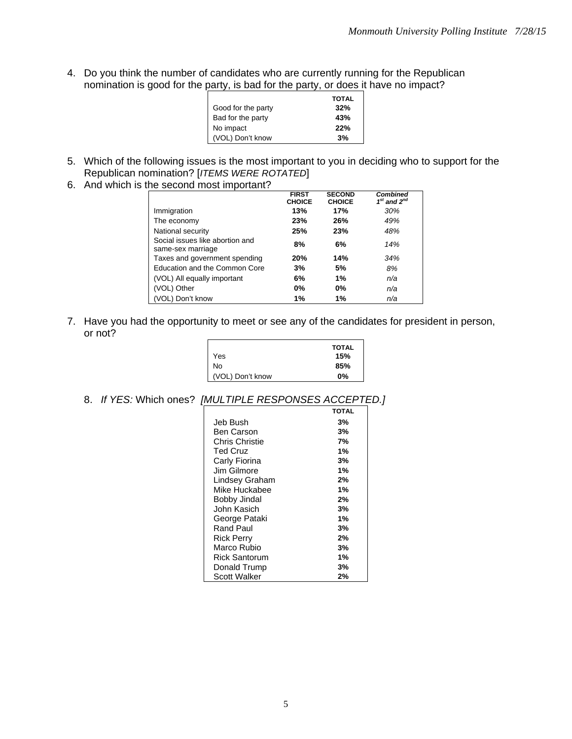4. Do you think the number of candidates who are currently running for the Republican nomination is good for the party, is bad for the party, or does it have no impact?

|                    | <b>TOTAL</b> |
|--------------------|--------------|
| Good for the party | 32%          |
| Bad for the party  | 43%          |
| No impact          | 22%          |
| (VOL) Don't know   | 3%           |

- 5. Which of the following issues is the most important to you in deciding who to support for the Republican nomination? [*ITEMS WERE ROTATED*]
- 6. And which is the second most important?

|                                                      | <b>FIRST</b><br><b>CHOICE</b> | <b>SECOND</b><br><b>CHOICE</b> | <b>Combined</b><br>$1st$ and $2nd$ |
|------------------------------------------------------|-------------------------------|--------------------------------|------------------------------------|
| Immigration                                          | 13%                           | 17%                            | 30%                                |
| The economy                                          | 23%                           | 26%                            | 49%                                |
| National security                                    | 25%                           | 23%                            | 48%                                |
| Social issues like abortion and<br>same-sex marriage | 8%                            | 6%                             | 14%                                |
| Taxes and government spending                        | 20%                           | 14%                            | 34%                                |
| Education and the Common Core                        | 3%                            | 5%                             | 8%                                 |
| (VOL) All equally important                          | 6%                            | 1%                             | n/a                                |
| (VOL) Other                                          | $0\%$                         | 0%                             | n/a                                |
| (VOL) Don't know                                     | 1%                            | 1%                             | n/a                                |

7. Have you had the opportunity to meet or see any of the candidates for president in person, or not?

|                  | <b>TOTAL</b> |
|------------------|--------------|
| Yes              | 15%          |
| No               | 85%          |
| (VOL) Don't know | $0\%$        |

8. *If YES:* Which ones? *[MULTIPLE RESPONSES ACCEPTED.]*

|                 | <b>TOTAL</b> |
|-----------------|--------------|
| Jeb Bush        | 3%           |
| Ben Carson      | 3%           |
| Chris Christie  | 7%           |
| <b>Ted Cruz</b> | 1%           |
| Carly Fiorina   | 3%           |
| Jim Gilmore     | 1%           |
| Lindsey Graham  | 2%           |
| Mike Huckabee   | 1%           |
| Bobby Jindal    | 2%           |
| John Kasich     | 3%           |
| George Pataki   | 1%           |
| Rand Paul       | 3%           |
| Rick Perry      | 2%           |
| Marco Rubio     | 3%           |
| Rick Santorum   | 1%           |
| Donald Trump    | 3%           |
| Scott Walker    | 2%           |